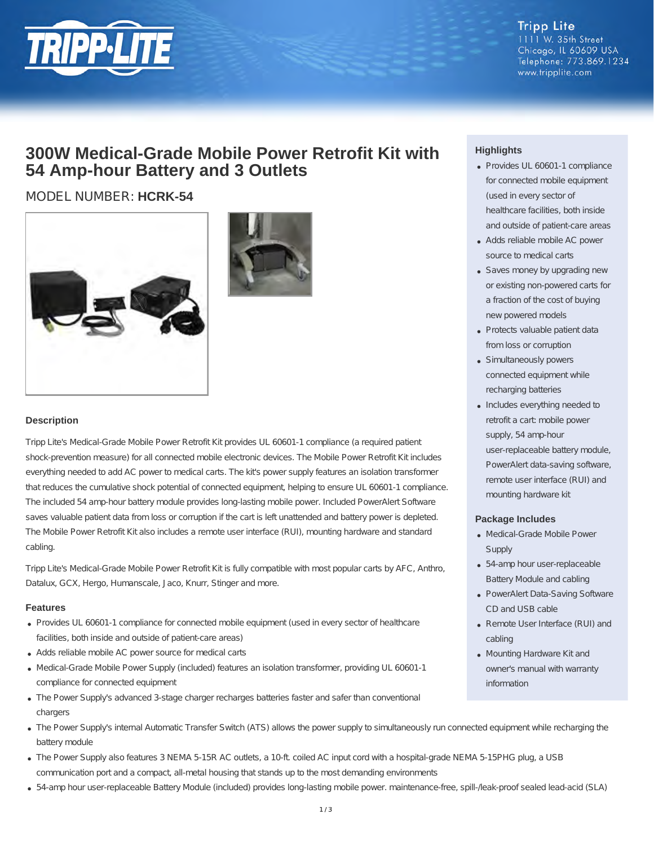

**Tripp Lite** 1111 W. 35th Street Chicago, IL 60609 USA Telephone: 773.869.1234 www.tripplite.com

## **300W Medical-Grade Mobile Power Retrofit Kit with 54 Amp-hour Battery and 3 Outlets**

### MODEL NUMBER: **HCRK-54**





#### **Description**

Tripp Lite's Medical-Grade Mobile Power Retrofit Kit provides UL 60601-1 compliance (a required patient shock-prevention measure) for all connected mobile electronic devices. The Mobile Power Retrofit Kit includes everything needed to add AC power to medical carts. The kit's power supply features an isolation transformer that reduces the cumulative shock potential of connected equipment, helping to ensure UL 60601-1 compliance. The included 54 amp-hour battery module provides long-lasting mobile power. Included PowerAlert Software saves valuable patient data from loss or corruption if the cart is left unattended and battery power is depleted. The Mobile Power Retrofit Kit also includes a remote user interface (RUI), mounting hardware and standard cabling.

Tripp Lite's Medical-Grade Mobile Power Retrofit Kit is fully compatible with most popular carts by AFC, Anthro, Datalux, GCX, Hergo, Humanscale, Jaco, Knurr, Stinger and more.

#### **Features**

- Provides UL 60601-1 compliance for connected mobile equipment (used in every sector of healthcare facilities, both inside and outside of patient-care areas)
- Adds reliable mobile AC power source for medical carts
- Medical-Grade Mobile Power Supply (included) features an isolation transformer, providing UL 60601-1 compliance for connected equipment
- The Power Supply's advanced 3-stage charger recharges batteries faster and safer than conventional chargers
- The Power Supply's internal Automatic Transfer Switch (ATS) allows the power supply to simultaneously run connected equipment while recharging the battery module
- . The Power Supply also features 3 NEMA 5-15R AC outlets, a 10-ft. coiled AC input cord with a hospital-grade NEMA 5-15PHG plug, a USB communication port and a compact, all-metal housing that stands up to the most demanding environments
- 54-amp hour user-replaceable Battery Module (included) provides long-lasting mobile power. maintenance-free, spill-/leak-proof sealed lead-acid (SLA)

#### **Highlights**

- Provides UL 60601-1 compliance for connected mobile equipment (used in every sector of healthcare facilities, both inside and outside of patient-care areas
- Adds reliable mobile AC power source to medical carts
- Saves money by upgrading new or existing non-powered carts for a fraction of the cost of buying new powered models
- Protects valuable patient data from loss or corruption
- Simultaneously powers connected equipment while recharging batteries
- Includes everything needed to retrofit a cart: mobile power supply, 54 amp-hour user-replaceable battery module, PowerAlert data-saving software, remote user interface (RUI) and mounting hardware kit

#### **Package Includes**

- Medical-Grade Mobile Power **Supply**
- 54-amp hour user-replaceable Battery Module and cabling
- PowerAlert Data-Saving Software CD and USB cable
- Remote User Interface (RUI) and cabling
- Mounting Hardware Kit and owner's manual with warranty information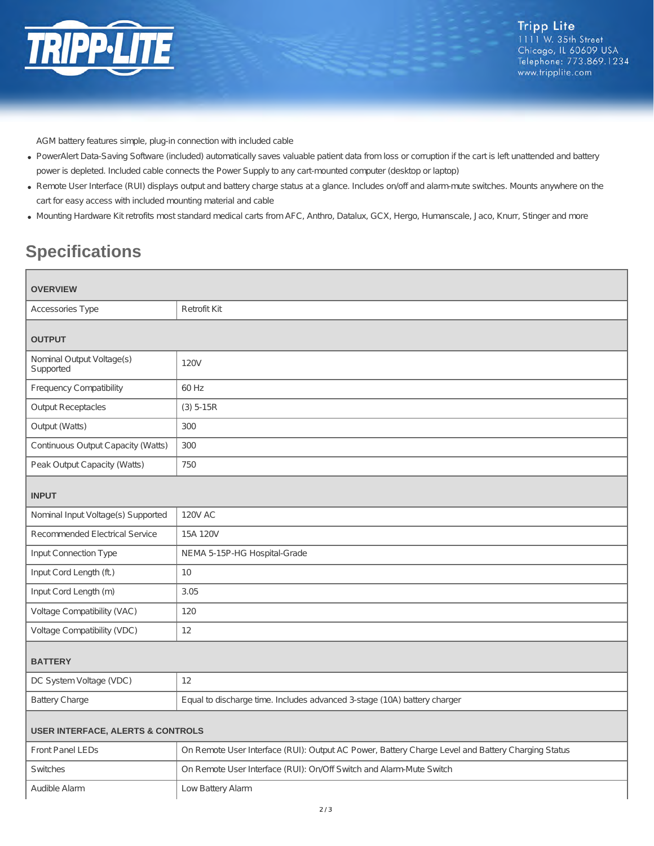

AGM battery features simple, plug-in connection with included cable

- PowerAlert Data-Saving Software (included) automatically saves valuable patient data from loss or corruption if the cart is left unattended and battery power is depleted. Included cable connects the Power Supply to any cart-mounted computer (desktop or laptop)
- Remote User Interface (RUI) displays output and battery charge status at a glance. Includes on/off and alarm-mute switches. Mounts anywhere on the cart for easy access with included mounting material and cable
- Mounting Hardware Kit retrofits most standard medical carts from AFC, Anthro, Datalux, GCX, Hergo, Humanscale, Jaco, Knurr, Stinger and more

# **Specifications**

 $\overline{\phantom{a}}$ 

| <b>OVERVIEW</b>                              |                                                                                                   |  |
|----------------------------------------------|---------------------------------------------------------------------------------------------------|--|
| Accessories Type                             | <b>Retrofit Kit</b>                                                                               |  |
| <b>OUTPUT</b>                                |                                                                                                   |  |
| Nominal Output Voltage(s)<br>Supported       | <b>120V</b>                                                                                       |  |
| <b>Frequency Compatibility</b>               | 60 Hz                                                                                             |  |
| <b>Output Receptacles</b>                    | $(3) 5 - 15R$                                                                                     |  |
| Output (Watts)                               | 300                                                                                               |  |
| Continuous Output Capacity (Watts)           | 300                                                                                               |  |
| Peak Output Capacity (Watts)                 | 750                                                                                               |  |
| <b>INPUT</b>                                 |                                                                                                   |  |
| Nominal Input Voltage(s) Supported           | <b>120V AC</b>                                                                                    |  |
| <b>Recommended Electrical Service</b>        | 15A 120V                                                                                          |  |
| Input Connection Type                        | NEMA 5-15P-HG Hospital-Grade                                                                      |  |
| Input Cord Length (ft.)                      | 10                                                                                                |  |
| Input Cord Length (m)                        | 3.05                                                                                              |  |
| Voltage Compatibility (VAC)                  | 120                                                                                               |  |
| Voltage Compatibility (VDC)                  | 12                                                                                                |  |
| <b>BATTERY</b>                               |                                                                                                   |  |
| DC System Voltage (VDC)                      | 12                                                                                                |  |
| <b>Battery Charge</b>                        | Equal to discharge time. Includes advanced 3-stage (10A) battery charger                          |  |
| <b>USER INTERFACE, ALERTS &amp; CONTROLS</b> |                                                                                                   |  |
| Front Panel LEDs                             | On Remote User Interface (RUI): Output AC Power, Battery Charge Level and Battery Charging Status |  |
| Switches                                     | On Remote User Interface (RUI): On/Off Switch and Alarm-Mute Switch                               |  |
| Audible Alarm                                | Low Battery Alarm                                                                                 |  |